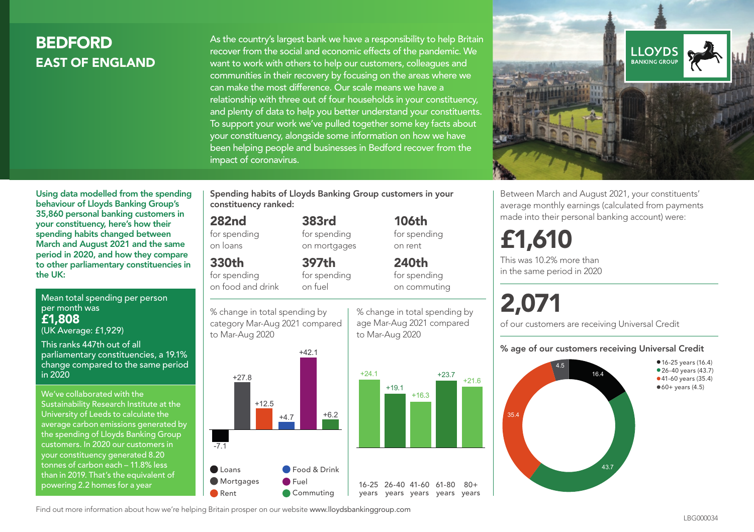# **BEDEORD** EAST OF ENGLAND

As the country's largest bank we have a responsibility to help Britain recover from the social and economic effects of the pandemic. We want to work with others to help our customers, colleagues and communities in their recovery by focusing on the areas where we can make the most difference. Our scale means we have a relationship with three out of four households in your constituency, and plenty of data to help you better understand your constituents. To support your work we've pulled together some key facts about your constituency, alongside some information on how we have been helping people and businesses in Bedford recover from the impact of coronavirus.



Between March and August 2021, your constituents' average monthly earnings (calculated from payments made into their personal banking account) were:

# £1,610

This was 10.2% more than in the same period in 2020

# 2,071

of our customers are receiving Universal Credit

#### % age of our customers receiving Universal Credit



spending habits changed between March and August 2021 and the same period in 2020, and how they compare to other parliamentary constituencies in the UK:

Using data modelled from the spending behaviour of Lloyds Banking Group's 35,860 personal banking customers in your constituency, here's how their

Mean total spending per person per month was £1,808 (UK Average: £1,929)

This ranks 447th out of all parliamentary constituencies, a 19.1% change compared to the same period in 2020

We've collaborated with the Sustainability Research Institute at the University of Leeds to calculate the average carbon emissions generated by the spending of Lloyds Banking Group customers. In 2020 our customers in your constituency generated 8.20 tonnes of carbon each – 11.8% less than in 2019. That's the equivalent of powering 2.2 homes for a year

Spending habits of Lloyds Banking Group customers in your constituency ranked:

> 383rd for spending on mortgages

397th

#### 282nd

for spending on loans

## 330th

for spending on food and drink

for spending on fuel





% change in total spending by age Mar-Aug 2021 compared to Mar-Aug 2020

 $+19.1$ 



 $+23.7$   $+21.6$ 

 $80 +$ 

Find out more information about how we're helping Britain prosper on our website www.lloydsbankinggroup.com